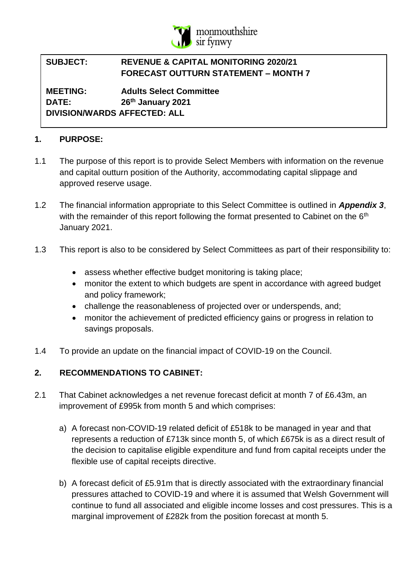

#### **SUBJECT: REVENUE & CAPITAL MONITORING 2020/21 FORECAST OUTTURN STATEMENT – MONTH 7**

**MEETING: Adults Select Committee DATE: 26th January 2021 DIVISION/WARDS AFFECTED: ALL**

# **1. PURPOSE:**

- 1.1 The purpose of this report is to provide Select Members with information on the revenue and capital outturn position of the Authority, accommodating capital slippage and approved reserve usage.
- 1.2 The financial information appropriate to this Select Committee is outlined in *Appendix 3*, with the remainder of this report following the format presented to Cabinet on the 6<sup>th</sup> January 2021.
- 1.3 This report is also to be considered by Select Committees as part of their responsibility to:
	- assess whether effective budget monitoring is taking place;
	- monitor the extent to which budgets are spent in accordance with agreed budget and policy framework;
	- challenge the reasonableness of projected over or underspends, and;
	- monitor the achievement of predicted efficiency gains or progress in relation to savings proposals.
- 1.4 To provide an update on the financial impact of COVID-19 on the Council.

# **2. RECOMMENDATIONS TO CABINET:**

- 2.1 That Cabinet acknowledges a net revenue forecast deficit at month 7 of £6.43m, an improvement of £995k from month 5 and which comprises:
	- a) A forecast non-COVID-19 related deficit of £518k to be managed in year and that represents a reduction of £713k since month 5, of which £675k is as a direct result of the decision to capitalise eligible expenditure and fund from capital receipts under the flexible use of capital receipts directive.
	- b) A forecast deficit of £5.91m that is directly associated with the extraordinary financial pressures attached to COVID-19 and where it is assumed that Welsh Government will continue to fund all associated and eligible income losses and cost pressures. This is a marginal improvement of £282k from the position forecast at month 5.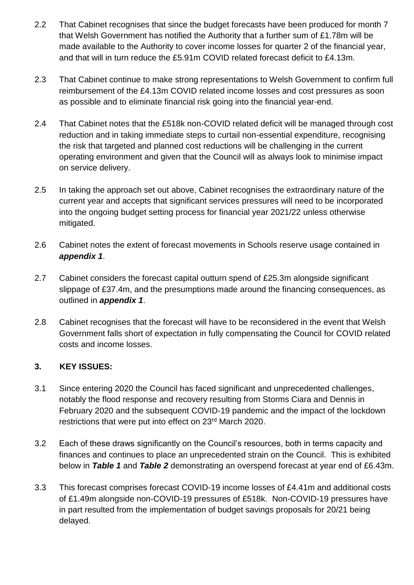- 2.2 That Cabinet recognises that since the budget forecasts have been produced for month 7 that Welsh Government has notified the Authority that a further sum of £1.78m will be made available to the Authority to cover income losses for quarter 2 of the financial year, and that will in turn reduce the £5.91m COVID related forecast deficit to £4.13m.
- 2.3 That Cabinet continue to make strong representations to Welsh Government to confirm full reimbursement of the £4.13m COVID related income losses and cost pressures as soon as possible and to eliminate financial risk going into the financial year-end.
- 2.4 That Cabinet notes that the £518k non-COVID related deficit will be managed through cost reduction and in taking immediate steps to curtail non-essential expenditure, recognising the risk that targeted and planned cost reductions will be challenging in the current operating environment and given that the Council will as always look to minimise impact on service delivery.
- 2.5 In taking the approach set out above, Cabinet recognises the extraordinary nature of the current year and accepts that significant services pressures will need to be incorporated into the ongoing budget setting process for financial year 2021/22 unless otherwise mitigated.
- 2.6 Cabinet notes the extent of forecast movements in Schools reserve usage contained in *appendix 1*.
- 2.7 Cabinet considers the forecast capital outturn spend of £25.3m alongside significant slippage of £37.4m, and the presumptions made around the financing consequences, as outlined in *appendix 1*.
- 2.8 Cabinet recognises that the forecast will have to be reconsidered in the event that Welsh Government falls short of expectation in fully compensating the Council for COVID related costs and income losses.

# **3. KEY ISSUES:**

- 3.1 Since entering 2020 the Council has faced significant and unprecedented challenges, notably the flood response and recovery resulting from Storms Ciara and Dennis in February 2020 and the subsequent COVID-19 pandemic and the impact of the lockdown restrictions that were put into effect on 23<sup>rd</sup> March 2020.
- 3.2 Each of these draws significantly on the Council's resources, both in terms capacity and finances and continues to place an unprecedented strain on the Council. This is exhibited below in *Table 1* and *Table 2* demonstrating an overspend forecast at year end of £6.43m.
- 3.3 This forecast comprises forecast COVID-19 income losses of £4.41m and additional costs of £1.49m alongside non-COVID-19 pressures of £518k. Non-COVID-19 pressures have in part resulted from the implementation of budget savings proposals for 20/21 being delayed.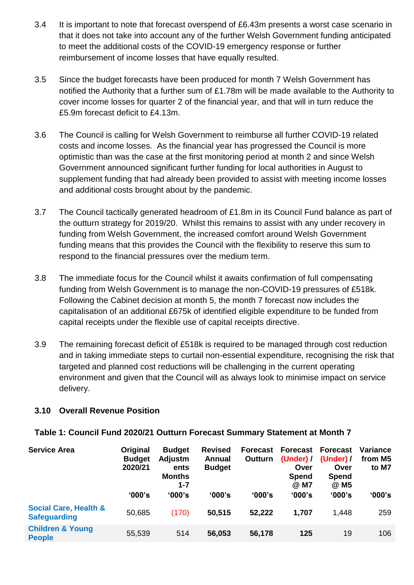- 3.4 It is important to note that forecast overspend of £6.43m presents a worst case scenario in that it does not take into account any of the further Welsh Government funding anticipated to meet the additional costs of the COVID-19 emergency response or further reimbursement of income losses that have equally resulted.
- 3.5 Since the budget forecasts have been produced for month 7 Welsh Government has notified the Authority that a further sum of £1.78m will be made available to the Authority to cover income losses for quarter 2 of the financial year, and that will in turn reduce the £5.9m forecast deficit to £4.13m.
- 3.6 The Council is calling for Welsh Government to reimburse all further COVID-19 related costs and income losses. As the financial year has progressed the Council is more optimistic than was the case at the first monitoring period at month 2 and since Welsh Government announced significant further funding for local authorities in August to supplement funding that had already been provided to assist with meeting income losses and additional costs brought about by the pandemic.
- 3.7 The Council tactically generated headroom of £1.8m in its Council Fund balance as part of the outturn strategy for 2019/20. Whilst this remains to assist with any under recovery in funding from Welsh Government, the increased comfort around Welsh Government funding means that this provides the Council with the flexibility to reserve this sum to respond to the financial pressures over the medium term.
- 3.8 The immediate focus for the Council whilst it awaits confirmation of full compensating funding from Welsh Government is to manage the non-COVID-19 pressures of £518k. Following the Cabinet decision at month 5, the month 7 forecast now includes the capitalisation of an additional £675k of identified eligible expenditure to be funded from capital receipts under the flexible use of capital receipts directive.
- 3.9 The remaining forecast deficit of £518k is required to be managed through cost reduction and in taking immediate steps to curtail non-essential expenditure, recognising the risk that targeted and planned cost reductions will be challenging in the current operating environment and given that the Council will as always look to minimise impact on service delivery.

#### **3.10 Overall Revenue Position**

#### **Table 1: Council Fund 2020/21 Outturn Forecast Summary Statement at Month 7**

| <b>Service Area</b>                                     | Original<br><b>Budget</b><br>2020/21 | <b>Budget</b><br>Adjustm<br>ents<br><b>Months</b><br>$1 - 7$ | <b>Revised</b><br><b>Annual</b><br><b>Budget</b> | <b>Forecast</b><br>Outturn | <b>Forecast</b><br>(Under) $\prime$<br>Over<br><b>Spend</b><br>@ M7 | <b>Forecast</b><br>(Under) $/$<br>Over<br>Spend<br>@ M5 | Variance<br>from M5<br>to M7 |
|---------------------------------------------------------|--------------------------------------|--------------------------------------------------------------|--------------------------------------------------|----------------------------|---------------------------------------------------------------------|---------------------------------------------------------|------------------------------|
|                                                         | '000's                               | '000's                                                       | '000's                                           | '000's                     | '000's                                                              | '000's                                                  | '000's                       |
| <b>Social Care, Health &amp;</b><br><b>Safeguarding</b> | 50,685                               | (170)                                                        | 50,515                                           | 52,222                     | 1,707                                                               | 1,448                                                   | 259                          |
| <b>Children &amp; Young</b><br><b>People</b>            | 55,539                               | 514                                                          | 56,053                                           | 56,178                     | 125                                                                 | 19                                                      | 106                          |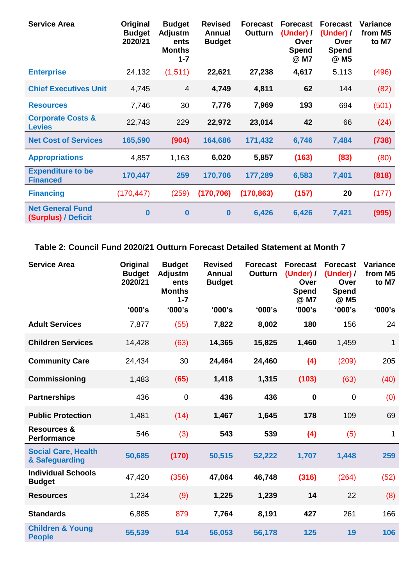| <b>Service Area</b>                            | Original<br><b>Budget</b><br>2020/21 | <b>Budget</b><br><b>Adjustm</b><br>ents<br><b>Months</b><br>$1 - 7$ | <b>Revised</b><br>Annual<br><b>Budget</b> | <b>Forecast</b><br>Outturn | <b>Forecast</b><br>(Under) /<br>Over<br><b>Spend</b><br>@ M7 | <b>Forecast</b><br>(Under) /<br>Over<br><b>Spend</b><br>@ M5 | Variance<br>from M5<br>to M7 |
|------------------------------------------------|--------------------------------------|---------------------------------------------------------------------|-------------------------------------------|----------------------------|--------------------------------------------------------------|--------------------------------------------------------------|------------------------------|
| <b>Enterprise</b>                              | 24,132                               | (1, 511)                                                            | 22,621                                    | 27,238                     | 4,617                                                        | 5,113                                                        | (496)                        |
| <b>Chief Executives Unit</b>                   | 4,745                                | $\overline{4}$                                                      | 4,749                                     | 4,811                      | 62                                                           | 144                                                          | (82)                         |
| <b>Resources</b>                               | 7,746                                | 30                                                                  | 7,776                                     | 7,969                      | 193                                                          | 694                                                          | (501)                        |
| <b>Corporate Costs &amp;</b><br><b>Levies</b>  | 22,743                               | 229                                                                 | 22,972                                    | 23,014                     | 42                                                           | 66                                                           | (24)                         |
| <b>Net Cost of Services</b>                    | 165,590                              | (904)                                                               | 164,686                                   | 171,432                    | 6,746                                                        | 7,484                                                        | (738)                        |
| <b>Appropriations</b>                          | 4,857                                | 1,163                                                               | 6,020                                     | 5,857                      | (163)                                                        | (83)                                                         | (80)                         |
| <b>Expenditure to be</b><br><b>Financed</b>    | 170,447                              | 259                                                                 | 170,706                                   | 177,289                    | 6,583                                                        | 7,401                                                        | (818)                        |
| <b>Financing</b>                               | (170, 447)                           | (259)                                                               | (170, 706)                                | (170, 863)                 | (157)                                                        | 20                                                           | (177)                        |
| <b>Net General Fund</b><br>(Surplus) / Deficit | $\bf{0}$                             | $\bf{0}$                                                            | $\bf{0}$                                  | 6,426                      | 6,426                                                        | 7,421                                                        | (995)                        |

**Table 2: Council Fund 2020/21 Outturn Forecast Detailed Statement at Month 7**

| <b>Service Area</b>                          | Original<br><b>Budget</b><br>2020/21 | <b>Budget</b><br>Adjustm<br>ents<br><b>Months</b><br>$1 - 7$ | <b>Revised</b><br><b>Annual</b><br><b>Budget</b> | <b>Forecast</b><br><b>Outturn</b> | <b>Forecast</b><br>(Under) /<br>Over<br>Spend<br>@ M7 | <b>Forecast</b><br>(Under) /<br>Over<br>Spend<br>@ M5 | Variance<br>from M5<br>to M7 |
|----------------------------------------------|--------------------------------------|--------------------------------------------------------------|--------------------------------------------------|-----------------------------------|-------------------------------------------------------|-------------------------------------------------------|------------------------------|
|                                              | '000's                               | '000's                                                       | '000's                                           | '000's                            | '000's                                                | '000's                                                | '000's                       |
| <b>Adult Services</b>                        | 7,877                                | (55)                                                         | 7,822                                            | 8,002                             | 180                                                   | 156                                                   | 24                           |
| <b>Children Services</b>                     | 14,428                               | (63)                                                         | 14,365                                           | 15,825                            | 1,460                                                 | 1,459                                                 | 1                            |
| <b>Community Care</b>                        | 24,434                               | 30                                                           | 24,464                                           | 24,460                            | (4)                                                   | (209)                                                 | 205                          |
| <b>Commissioning</b>                         | 1,483                                | (65)                                                         | 1,418                                            | 1,315                             | (103)                                                 | (63)                                                  | (40)                         |
| <b>Partnerships</b>                          | 436                                  | $\mathbf 0$                                                  | 436                                              | 436                               | $\mathbf 0$                                           | $\overline{0}$                                        | (0)                          |
| <b>Public Protection</b>                     | 1,481                                | (14)                                                         | 1,467                                            | 1,645                             | 178                                                   | 109                                                   | 69                           |
| <b>Resources &amp;</b><br><b>Performance</b> | 546                                  | (3)                                                          | 543                                              | 539                               | (4)                                                   | (5)                                                   | 1                            |
| <b>Social Care, Health</b><br>& Safeguarding | 50,685                               | (170)                                                        | 50,515                                           | 52,222                            | 1,707                                                 | 1,448                                                 | 259                          |
| <b>Individual Schools</b><br><b>Budget</b>   | 47,420                               | (356)                                                        | 47,064                                           | 46,748                            | (316)                                                 | (264)                                                 | (52)                         |
| <b>Resources</b>                             | 1,234                                | (9)                                                          | 1,225                                            | 1,239                             | 14                                                    | 22                                                    | (8)                          |
| <b>Standards</b>                             | 6,885                                | 879                                                          | 7,764                                            | 8,191                             | 427                                                   | 261                                                   | 166                          |
| <b>Children &amp; Young</b><br><b>People</b> | 55,539                               | 514                                                          | 56,053                                           | 56,178                            | 125                                                   | 19                                                    | 106                          |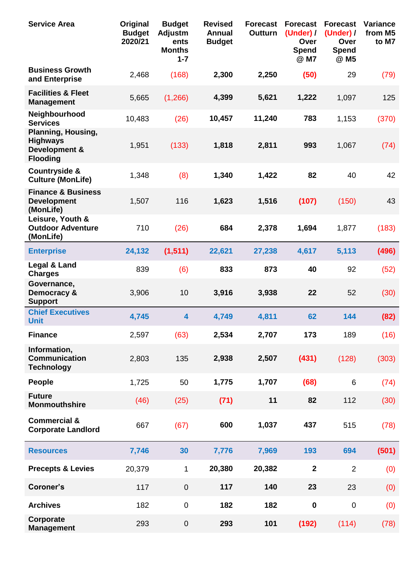| <b>Service Area</b>                                                              | Original<br><b>Budget</b><br>2020/21 | <b>Budget</b><br><b>Adjustm</b><br>ents<br><b>Months</b><br>$1 - 7$ | <b>Revised</b><br><b>Annual</b><br><b>Budget</b> | <b>Forecast</b><br>Outturn | <b>Forecast</b><br>(Under) /<br>Over<br><b>Spend</b><br>@ M7 | <b>Forecast</b><br>(Under) /<br>Over<br><b>Spend</b><br>@ M5 | <b>Variance</b><br>from M5<br>to M7 |
|----------------------------------------------------------------------------------|--------------------------------------|---------------------------------------------------------------------|--------------------------------------------------|----------------------------|--------------------------------------------------------------|--------------------------------------------------------------|-------------------------------------|
| <b>Business Growth</b><br>and Enterprise                                         | 2,468                                | (168)                                                               | 2,300                                            | 2,250                      | (50)                                                         | 29                                                           | (79)                                |
| <b>Facilities &amp; Fleet</b><br><b>Management</b>                               | 5,665                                | (1,266)                                                             | 4,399                                            | 5,621                      | 1,222                                                        | 1,097                                                        | 125                                 |
| Neighbourhood<br><b>Services</b>                                                 | 10,483                               | (26)                                                                | 10,457                                           | 11,240                     | 783                                                          | 1,153                                                        | (370)                               |
| <b>Planning, Housing,</b><br><b>Highways</b><br>Development &<br><b>Flooding</b> | 1,951                                | (133)                                                               | 1,818                                            | 2,811                      | 993                                                          | 1,067                                                        | (74)                                |
| <b>Countryside &amp;</b><br><b>Culture (MonLife)</b>                             | 1,348                                | (8)                                                                 | 1,340                                            | 1,422                      | 82                                                           | 40                                                           | 42                                  |
| <b>Finance &amp; Business</b><br><b>Development</b><br>(MonLife)                 | 1,507                                | 116                                                                 | 1,623                                            | 1,516                      | (107)                                                        | (150)                                                        | 43                                  |
| Leisure, Youth &<br><b>Outdoor Adventure</b><br>(MonLife)                        | 710                                  | (26)                                                                | 684                                              | 2,378                      | 1,694                                                        | 1,877                                                        | (183)                               |
| <b>Enterprise</b>                                                                | 24,132                               | (1, 511)                                                            | 22,621                                           | 27,238                     | 4,617                                                        | 5,113                                                        | (496)                               |
| Legal & Land<br><b>Charges</b>                                                   | 839                                  | (6)                                                                 | 833                                              | 873                        | 40                                                           | 92                                                           | (52)                                |
| Governance,<br>Democracy &<br><b>Support</b>                                     | 3,906                                | 10                                                                  | 3,916                                            | 3,938                      | 22                                                           | 52                                                           | (30)                                |
| <b>Chief Executives</b><br><b>Unit</b>                                           | 4,745                                | 4                                                                   | 4,749                                            | 4,811                      | 62                                                           | 144                                                          | (82)                                |
| <b>Finance</b>                                                                   | 2,597                                | (63)                                                                | 2,534                                            | 2,707                      | 173                                                          | 189                                                          | (16)                                |
| Information,<br><b>Communication</b><br><b>Technology</b>                        | 2,803                                | 135                                                                 | 2,938                                            | 2,507                      | (431)                                                        | (128)                                                        | (303)                               |
| <b>People</b>                                                                    | 1,725                                | 50                                                                  | 1,775                                            | 1,707                      | (68)                                                         | 6                                                            | (74)                                |
| <b>Future</b><br><b>Monmouthshire</b>                                            | (46)                                 | (25)                                                                | (71)                                             | 11                         | 82                                                           | 112                                                          | (30)                                |
| <b>Commercial &amp;</b><br><b>Corporate Landlord</b>                             | 667                                  | (67)                                                                | 600                                              | 1,037                      | 437                                                          | 515                                                          | (78)                                |
| <b>Resources</b>                                                                 | 7,746                                | 30                                                                  | 7,776                                            | 7,969                      | 193                                                          | 694                                                          | (501)                               |
| <b>Precepts &amp; Levies</b>                                                     | 20,379                               | 1                                                                   | 20,380                                           | 20,382                     | $\overline{2}$                                               | $\overline{2}$                                               | (0)                                 |
| Coroner's                                                                        | 117                                  | $\pmb{0}$                                                           | 117                                              | 140                        | 23                                                           | 23                                                           | (0)                                 |
| <b>Archives</b>                                                                  | 182                                  | $\pmb{0}$                                                           | 182                                              | 182                        | $\pmb{0}$                                                    | $\pmb{0}$                                                    | (0)                                 |
| Corporate<br><b>Management</b>                                                   | 293                                  | $\pmb{0}$                                                           | 293                                              | 101                        | (192)                                                        | (114)                                                        | (78)                                |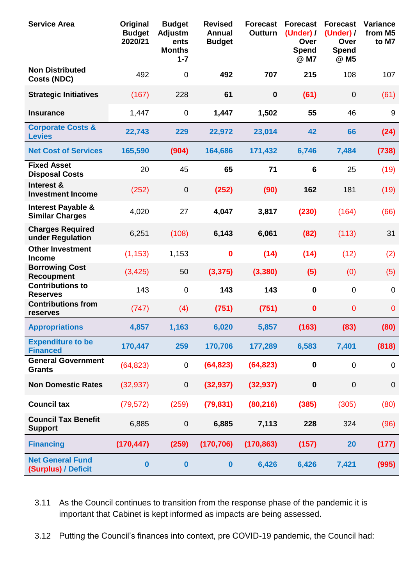| <b>Service Area</b>                                     | Original<br><b>Budget</b><br>2020/21 | <b>Budget</b><br>Adjustm<br>ents<br><b>Months</b><br>$1 - 7$ | <b>Revised</b><br><b>Annual</b><br><b>Budget</b> | <b>Forecast</b><br><b>Outturn</b> | <b>Forecast</b><br>(Under) /<br>Over<br><b>Spend</b><br>@ M7 | <b>Forecast</b><br>(Under) /<br>Over<br><b>Spend</b><br>@ M5 | <b>Variance</b><br>from M5<br>to M7 |
|---------------------------------------------------------|--------------------------------------|--------------------------------------------------------------|--------------------------------------------------|-----------------------------------|--------------------------------------------------------------|--------------------------------------------------------------|-------------------------------------|
| <b>Non Distributed</b><br><b>Costs (NDC)</b>            | 492                                  | $\mathbf 0$                                                  | 492                                              | 707                               | 215                                                          | 108                                                          | 107                                 |
| <b>Strategic Initiatives</b>                            | (167)                                | 228                                                          | 61                                               | $\mathbf 0$                       | (61)                                                         | $\mathbf 0$                                                  | (61)                                |
| <b>Insurance</b>                                        | 1,447                                | $\mathbf 0$                                                  | 1,447                                            | 1,502                             | 55                                                           | 46                                                           | 9                                   |
| <b>Corporate Costs &amp;</b><br><b>Levies</b>           | 22,743                               | 229                                                          | 22,972                                           | 23,014                            | 42                                                           | 66                                                           | (24)                                |
| <b>Net Cost of Services</b>                             | 165,590                              | (904)                                                        | 164,686                                          | 171,432                           | 6,746                                                        | 7,484                                                        | (738)                               |
| <b>Fixed Asset</b><br><b>Disposal Costs</b>             | 20                                   | 45                                                           | 65                                               | 71                                | 6                                                            | 25                                                           | (19)                                |
| Interest &<br><b>Investment Income</b>                  | (252)                                | $\mathbf 0$                                                  | (252)                                            | (90)                              | 162                                                          | 181                                                          | (19)                                |
| <b>Interest Payable &amp;</b><br><b>Similar Charges</b> | 4,020                                | 27                                                           | 4,047                                            | 3,817                             | (230)                                                        | (164)                                                        | (66)                                |
| <b>Charges Required</b><br>under Regulation             | 6,251                                | (108)                                                        | 6,143                                            | 6,061                             | (82)                                                         | (113)                                                        | 31                                  |
| <b>Other Investment</b><br><b>Income</b>                | (1, 153)                             | 1,153                                                        | $\mathbf 0$                                      | (14)                              | (14)                                                         | (12)                                                         | (2)                                 |
| <b>Borrowing Cost</b><br><b>Recoupment</b>              | (3, 425)                             | 50                                                           | (3, 375)                                         | (3, 380)                          | (5)                                                          | (0)                                                          | (5)                                 |
| <b>Contributions to</b><br><b>Reserves</b>              | 143                                  | $\mathbf 0$                                                  | 143                                              | 143                               | $\mathbf 0$                                                  | $\mathbf 0$                                                  | $\mathbf 0$                         |
| <b>Contributions from</b><br>reserves                   | (747)                                | (4)                                                          | (751)                                            | (751)                             | $\mathbf 0$                                                  | 0                                                            | $\mathbf 0$                         |
| <b>Appropriations</b>                                   | 4,857                                | 1,163                                                        | 6,020                                            | 5,857                             | (163)                                                        | (83)                                                         | (80)                                |
| <b>Expenditure to be</b><br><b>Financed</b>             | 170,447                              | 259                                                          | 170,706                                          | 177,289                           | 6,583                                                        | 7,401                                                        | (818)                               |
| <b>General Government</b><br><b>Grants</b>              | (64, 823)                            | 0                                                            | (64, 823)                                        | (64, 823)                         | $\mathbf 0$                                                  | 0                                                            | 0                                   |
| <b>Non Domestic Rates</b>                               | (32, 937)                            | $\pmb{0}$                                                    | (32, 937)                                        | (32, 937)                         | $\pmb{0}$                                                    | $\boldsymbol{0}$                                             | $\pmb{0}$                           |
| <b>Council tax</b>                                      | (79, 572)                            | (259)                                                        | (79, 831)                                        | (80, 216)                         | (385)                                                        | (305)                                                        | (80)                                |
| <b>Council Tax Benefit</b><br><b>Support</b>            | 6,885                                | $\mathbf 0$                                                  | 6,885                                            | 7,113                             | 228                                                          | 324                                                          | (96)                                |
| <b>Financing</b>                                        | (170, 447)                           | (259)                                                        | (170, 706)                                       | (170, 863)                        | (157)                                                        | 20                                                           | (177)                               |
| <b>Net General Fund</b><br>(Surplus) / Deficit          | $\bf{0}$                             | $\bf{0}$                                                     | $\boldsymbol{0}$                                 | 6,426                             | 6,426                                                        | 7,421                                                        | (995)                               |

# 3.11 As the Council continues to transition from the response phase of the pandemic it is important that Cabinet is kept informed as impacts are being assessed.

3.12 Putting the Council's finances into context, pre COVID-19 pandemic, the Council had: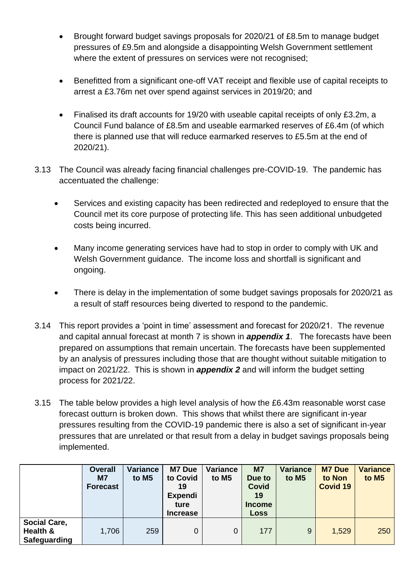- Brought forward budget savings proposals for 2020/21 of £8.5m to manage budget pressures of £9.5m and alongside a disappointing Welsh Government settlement where the extent of pressures on services were not recognised:
- Benefitted from a significant one-off VAT receipt and flexible use of capital receipts to arrest a £3.76m net over spend against services in 2019/20; and
- Finalised its draft accounts for 19/20 with useable capital receipts of only £3.2m, a Council Fund balance of £8.5m and useable earmarked reserves of £6.4m (of which there is planned use that will reduce earmarked reserves to £5.5m at the end of 2020/21).
- 3.13 The Council was already facing financial challenges pre-COVID-19. The pandemic has accentuated the challenge:
	- Services and existing capacity has been redirected and redeployed to ensure that the Council met its core purpose of protecting life. This has seen additional unbudgeted costs being incurred.
	- Many income generating services have had to stop in order to comply with UK and Welsh Government guidance. The income loss and shortfall is significant and ongoing.
	- There is delay in the implementation of some budget savings proposals for 2020/21 as a result of staff resources being diverted to respond to the pandemic.
- 3.14 This report provides a 'point in time' assessment and forecast for 2020/21. The revenue and capital annual forecast at month 7 is shown in *appendix 1*. The forecasts have been prepared on assumptions that remain uncertain. The forecasts have been supplemented by an analysis of pressures including those that are thought without suitable mitigation to impact on 2021/22. This is shown in *appendix 2* and will inform the budget setting process for 2021/22.
- 3.15 The table below provides a high level analysis of how the £6.43m reasonable worst case forecast outturn is broken down. This shows that whilst there are significant in-year pressures resulting from the COVID-19 pandemic there is also a set of significant in-year pressures that are unrelated or that result from a delay in budget savings proposals being implemented.

|                                                 | <b>Overall</b><br><b>M7</b><br><b>Forecast</b> | Variance<br>to M5 | M7 Due<br>to Covid<br>19<br><b>Expendi</b><br>ture<br><b>Increase</b> | Variance<br>to M5 | <b>M7</b><br>Due to<br><b>Covid</b><br>19<br><b>Income</b><br><b>Loss</b> | <b>Variance</b><br>to M <sub>5</sub> | <b>M7 Due</b><br>to Non<br><b>Covid 19</b> | <b>Variance</b><br>to M <sub>5</sub> |
|-------------------------------------------------|------------------------------------------------|-------------------|-----------------------------------------------------------------------|-------------------|---------------------------------------------------------------------------|--------------------------------------|--------------------------------------------|--------------------------------------|
| <b>Social Care,</b><br>Health &<br>Safeguarding | 1,706                                          | 259               | 0                                                                     | 0                 | 177                                                                       | 9                                    | 1,529                                      | 250                                  |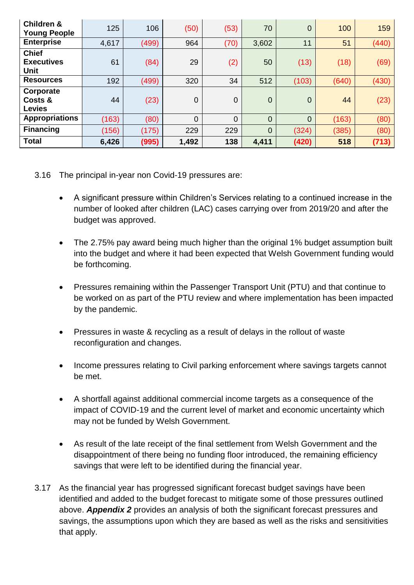| <b>Children &amp;</b><br><b>Young People</b>     | 125   | 106   | (50)           | (53) | 70             | $\overline{0}$ | 100   | 159   |
|--------------------------------------------------|-------|-------|----------------|------|----------------|----------------|-------|-------|
| <b>Enterprise</b>                                | 4,617 | (499) | 964            | (70) | 3,602          | 11             | 51    | (440) |
| <b>Chief</b><br><b>Executives</b><br><b>Unit</b> | 61    | (84)  | 29             | (2)  | 50             | (13)           | (18)  | (69)  |
| <b>Resources</b>                                 | 192   | (499) | 320            | 34   | 512            | (103)          | (640) | (430) |
| Corporate<br>Costs &<br><b>Levies</b>            | 44    | (23)  | $\overline{0}$ | 0    | $\overline{0}$ | $\overline{0}$ | 44    | (23)  |
| <b>Appropriations</b>                            | (163) | (80)  | 0              | 0    | $\mathbf{0}$   | $\overline{0}$ | (163) | (80)  |
| <b>Financing</b>                                 | (156) | (175) | 229            | 229  | $\overline{0}$ | (324)          | (385) | (80)  |
| <b>Total</b>                                     | 6,426 | (995) | 1,492          | 138  | 4,411          | (420)          | 518   | (713) |

- 3.16 The principal in-year non Covid-19 pressures are:
	- A significant pressure within Children's Services relating to a continued increase in the number of looked after children (LAC) cases carrying over from 2019/20 and after the budget was approved.
	- The 2.75% pay award being much higher than the original 1% budget assumption built into the budget and where it had been expected that Welsh Government funding would be forthcoming.
	- Pressures remaining within the Passenger Transport Unit (PTU) and that continue to be worked on as part of the PTU review and where implementation has been impacted by the pandemic.
	- Pressures in waste & recycling as a result of delays in the rollout of waste reconfiguration and changes.
	- Income pressures relating to Civil parking enforcement where savings targets cannot be met.
	- A shortfall against additional commercial income targets as a consequence of the impact of COVID-19 and the current level of market and economic uncertainty which may not be funded by Welsh Government.
	- As result of the late receipt of the final settlement from Welsh Government and the disappointment of there being no funding floor introduced, the remaining efficiency savings that were left to be identified during the financial year.
- 3.17 As the financial year has progressed significant forecast budget savings have been identified and added to the budget forecast to mitigate some of those pressures outlined above. *Appendix 2* provides an analysis of both the significant forecast pressures and savings, the assumptions upon which they are based as well as the risks and sensitivities that apply.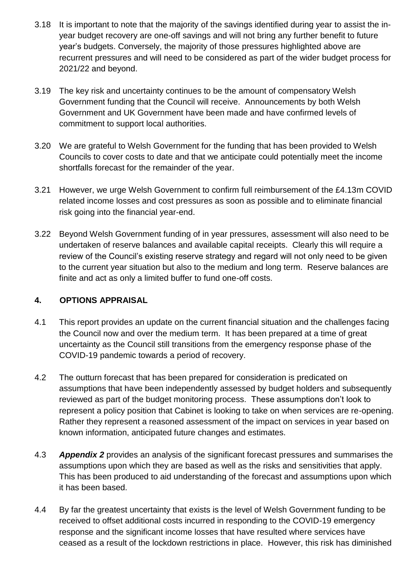- 3.18 It is important to note that the majority of the savings identified during year to assist the inyear budget recovery are one-off savings and will not bring any further benefit to future year's budgets. Conversely, the majority of those pressures highlighted above are recurrent pressures and will need to be considered as part of the wider budget process for 2021/22 and beyond.
- 3.19 The key risk and uncertainty continues to be the amount of compensatory Welsh Government funding that the Council will receive. Announcements by both Welsh Government and UK Government have been made and have confirmed levels of commitment to support local authorities.
- 3.20 We are grateful to Welsh Government for the funding that has been provided to Welsh Councils to cover costs to date and that we anticipate could potentially meet the income shortfalls forecast for the remainder of the year.
- 3.21 However, we urge Welsh Government to confirm full reimbursement of the £4.13m COVID related income losses and cost pressures as soon as possible and to eliminate financial risk going into the financial year-end.
- 3.22 Beyond Welsh Government funding of in year pressures, assessment will also need to be undertaken of reserve balances and available capital receipts. Clearly this will require a review of the Council's existing reserve strategy and regard will not only need to be given to the current year situation but also to the medium and long term. Reserve balances are finite and act as only a limited buffer to fund one-off costs.

# **4. OPTIONS APPRAISAL**

- 4.1 This report provides an update on the current financial situation and the challenges facing the Council now and over the medium term. It has been prepared at a time of great uncertainty as the Council still transitions from the emergency response phase of the COVID-19 pandemic towards a period of recovery.
- 4.2 The outturn forecast that has been prepared for consideration is predicated on assumptions that have been independently assessed by budget holders and subsequently reviewed as part of the budget monitoring process. These assumptions don't look to represent a policy position that Cabinet is looking to take on when services are re-opening. Rather they represent a reasoned assessment of the impact on services in year based on known information, anticipated future changes and estimates.
- 4.3 *Appendix 2* provides an analysis of the significant forecast pressures and summarises the assumptions upon which they are based as well as the risks and sensitivities that apply. This has been produced to aid understanding of the forecast and assumptions upon which it has been based.
- 4.4 By far the greatest uncertainty that exists is the level of Welsh Government funding to be received to offset additional costs incurred in responding to the COVID-19 emergency response and the significant income losses that have resulted where services have ceased as a result of the lockdown restrictions in place. However, this risk has diminished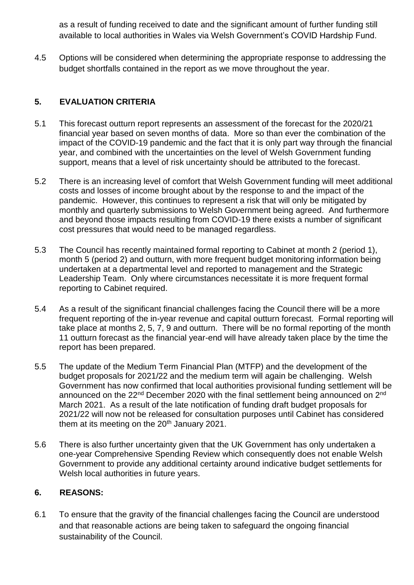as a result of funding received to date and the significant amount of further funding still available to local authorities in Wales via Welsh Government's COVID Hardship Fund.

4.5 Options will be considered when determining the appropriate response to addressing the budget shortfalls contained in the report as we move throughout the year.

# **5. EVALUATION CRITERIA**

- 5.1 This forecast outturn report represents an assessment of the forecast for the 2020/21 financial year based on seven months of data. More so than ever the combination of the impact of the COVID-19 pandemic and the fact that it is only part way through the financial year, and combined with the uncertainties on the level of Welsh Government funding support, means that a level of risk uncertainty should be attributed to the forecast.
- 5.2 There is an increasing level of comfort that Welsh Government funding will meet additional costs and losses of income brought about by the response to and the impact of the pandemic. However, this continues to represent a risk that will only be mitigated by monthly and quarterly submissions to Welsh Government being agreed. And furthermore and beyond those impacts resulting from COVID-19 there exists a number of significant cost pressures that would need to be managed regardless.
- 5.3 The Council has recently maintained formal reporting to Cabinet at month 2 (period 1), month 5 (period 2) and outturn, with more frequent budget monitoring information being undertaken at a departmental level and reported to management and the Strategic Leadership Team. Only where circumstances necessitate it is more frequent formal reporting to Cabinet required.
- 5.4 As a result of the significant financial challenges facing the Council there will be a more frequent reporting of the in-year revenue and capital outturn forecast. Formal reporting will take place at months 2, 5, 7, 9 and outturn. There will be no formal reporting of the month 11 outturn forecast as the financial year-end will have already taken place by the time the report has been prepared.
- 5.5 The update of the Medium Term Financial Plan (MTFP) and the development of the budget proposals for 2021/22 and the medium term will again be challenging. Welsh Government has now confirmed that local authorities provisional funding settlement will be announced on the 22<sup>nd</sup> December 2020 with the final settlement being announced on 2<sup>nd</sup> March 2021. As a result of the late notification of funding draft budget proposals for 2021/22 will now not be released for consultation purposes until Cabinet has considered them at its meeting on the  $20<sup>th</sup>$  January 2021.
- 5.6 There is also further uncertainty given that the UK Government has only undertaken a one-year Comprehensive Spending Review which consequently does not enable Welsh Government to provide any additional certainty around indicative budget settlements for Welsh local authorities in future years.

# **6. REASONS:**

6.1 To ensure that the gravity of the financial challenges facing the Council are understood and that reasonable actions are being taken to safeguard the ongoing financial sustainability of the Council.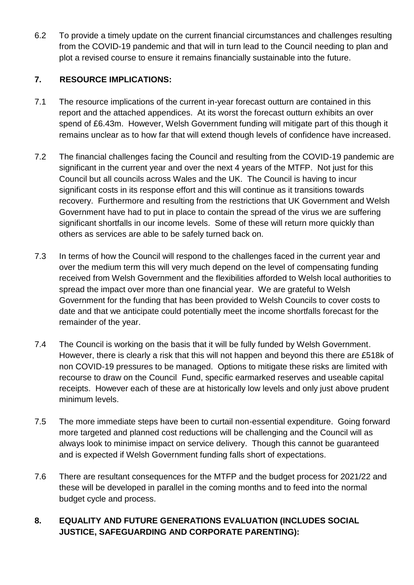6.2 To provide a timely update on the current financial circumstances and challenges resulting from the COVID-19 pandemic and that will in turn lead to the Council needing to plan and plot a revised course to ensure it remains financially sustainable into the future.

#### **7. RESOURCE IMPLICATIONS:**

- 7.1 The resource implications of the current in-year forecast outturn are contained in this report and the attached appendices. At its worst the forecast outturn exhibits an over spend of £6.43m. However, Welsh Government funding will mitigate part of this though it remains unclear as to how far that will extend though levels of confidence have increased.
- 7.2 The financial challenges facing the Council and resulting from the COVID-19 pandemic are significant in the current year and over the next 4 years of the MTFP. Not just for this Council but all councils across Wales and the UK. The Council is having to incur significant costs in its response effort and this will continue as it transitions towards recovery. Furthermore and resulting from the restrictions that UK Government and Welsh Government have had to put in place to contain the spread of the virus we are suffering significant shortfalls in our income levels. Some of these will return more quickly than others as services are able to be safely turned back on.
- 7.3 In terms of how the Council will respond to the challenges faced in the current year and over the medium term this will very much depend on the level of compensating funding received from Welsh Government and the flexibilities afforded to Welsh local authorities to spread the impact over more than one financial year. We are grateful to Welsh Government for the funding that has been provided to Welsh Councils to cover costs to date and that we anticipate could potentially meet the income shortfalls forecast for the remainder of the year.
- 7.4 The Council is working on the basis that it will be fully funded by Welsh Government. However, there is clearly a risk that this will not happen and beyond this there are £518k of non COVID-19 pressures to be managed. Options to mitigate these risks are limited with recourse to draw on the Council Fund, specific earmarked reserves and useable capital receipts. However each of these are at historically low levels and only just above prudent minimum levels.
- 7.5 The more immediate steps have been to curtail non-essential expenditure. Going forward more targeted and planned cost reductions will be challenging and the Council will as always look to minimise impact on service delivery. Though this cannot be guaranteed and is expected if Welsh Government funding falls short of expectations.
- 7.6 There are resultant consequences for the MTFP and the budget process for 2021/22 and these will be developed in parallel in the coming months and to feed into the normal budget cycle and process.

# **8. EQUALITY AND FUTURE GENERATIONS EVALUATION (INCLUDES SOCIAL JUSTICE, SAFEGUARDING AND CORPORATE PARENTING):**